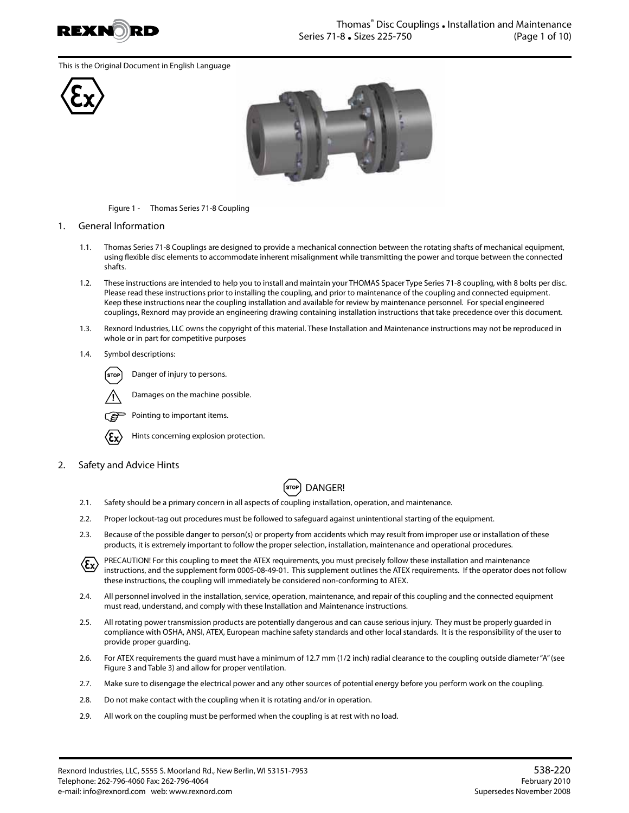

This is the Original Document in English Language





Figure 1 - Thomas Series 71-8 Coupling

## 1. General Information

- 1.1. Thomas Series 71-8 Couplings are designed to provide a mechanical connection between the rotating shafts of mechanical equipment, using flexible disc elements to accommodate inherent misalignment while transmitting the power and torque between the connected shafts.
- 1.2. These instructions are intended to help you to install and maintain your THOMAS Spacer Type Series 71-8 coupling, with 8 bolts per disc. Please read these instructions prior to installing the coupling, and prior to maintenance of the coupling and connected equipment. Keep these instructions near the coupling installation and available for review by maintenance personnel. For special engineered couplings, Rexnord may provide an engineering drawing containing installation instructions that take precedence over this document.
- 1.3. Rexnord Industries, LLC owns the copyright of this material. These Installation and Maintenance instructions may not be reproduced in whole or in part for competitive purposes
- 1.4. Symbol descriptions:

Danger of injury to persons. STOI



Pointing to important items.



Hints concerning explosion protection.

Damages on the machine possible.

2. Safety and Advice Hints



- 2.1. Safety should be a primary concern in all aspects of coupling installation, operation, and maintenance.
- 2.2. Proper lockout-tag out procedures must be followed to safeguard against unintentional starting of the equipment.
- 2.3. Because of the possible danger to person(s) or property from accidents which may result from improper use or installation of these products, it is extremely important to follow the proper selection, installation, maintenance and operational procedures.

PRECAUTION! For this coupling to meet the ATEX requirements, you must precisely follow these installation and maintenance  $\langle \epsilon_{\mathbf{x}} \rangle$ instructions, and the supplement form 0005-08-49-01. This supplement outlines the ATEX requirements. If the operator does not follow these instructions, the coupling will immediately be considered non-conforming to ATEX.

- 2.4. All personnel involved in the installation, service, operation, maintenance, and repair of this coupling and the connected equipment must read, understand, and comply with these Installation and Maintenance instructions.
- 2.5. All rotating power transmission products are potentially dangerous and can cause serious injury. They must be properly guarded in compliance with OSHA, ANSI, ATEX, European machine safety standards and other local standards. It is the responsibility of the user to provide proper guarding.
- 2.6. For ATEX requirements the guard must have a minimum of 12.7 mm (1/2 inch) radial clearance to the coupling outside diameter "A" (see Figure 3 and Table 3) and allow for proper ventilation.
- 2.7. Make sure to disengage the electrical power and any other sources of potential energy before you perform work on the coupling.
- 2.8. Do not make contact with the coupling when it is rotating and/or in operation.
- 2.9. All work on the coupling must be performed when the coupling is at rest with no load.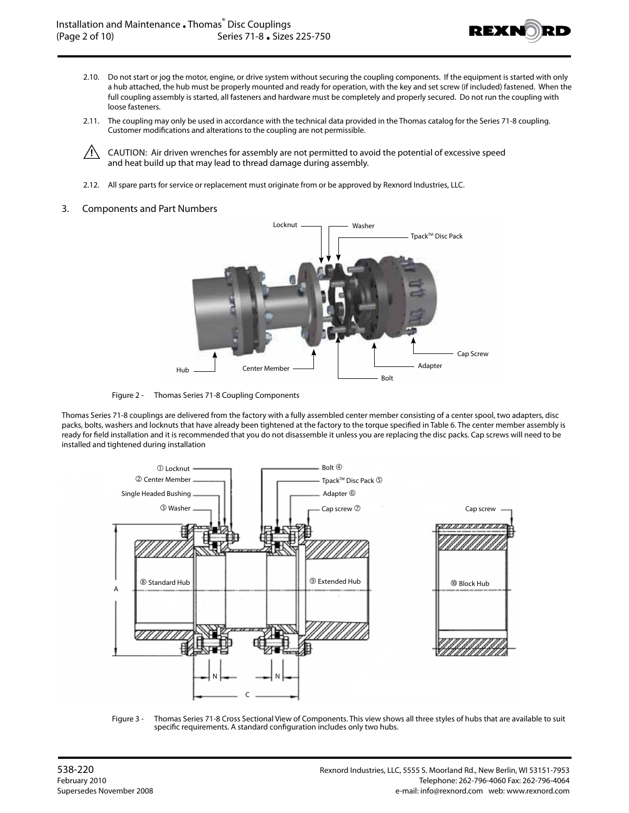

- 2.10. Do not start or jog the motor, engine, or drive system without securing the coupling components. If the equipment is started with only a hub attached, the hub must be properly mounted and ready for operation, with the key and set screw (if included) fastened. When the full coupling assembly is started, all fasteners and hardware must be completely and properly secured. Do not run the coupling with loose fasteners.
- 2.11. The coupling may only be used in accordance with the technical data provided in the Thomas catalog for the Series 71-8 coupling. Customer modifications and alterations to the coupling are not permissible.

 $\sqrt{!}$  CAUTION: Air driven wrenches for assembly are not permitted to avoid the potential of excessive speed and heat build up that may lead to thread damage during assembly.

2.12. All spare parts for service or replacement must originate from or be approved by Rexnord Industries, LLC.

## 3. Components and Part Numbers



Figure 2 - Thomas Series 71-8 Coupling Components

Thomas Series 71-8 couplings are delivered from the factory with a fully assembled center member consisting of a center spool, two adapters, disc packs, bolts, washers and locknuts that have already been tightened at the factory to the torque specified in Table 6. The center member assembly is ready for field installation and it is recommended that you do not disassemble it unless you are replacing the disc packs. Cap screws will need to be installed and tightened during installation



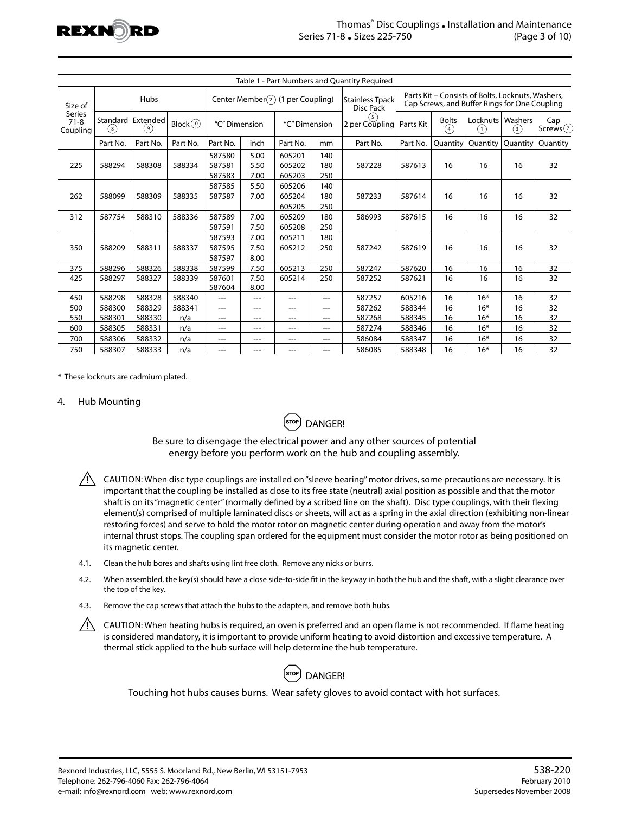

|                                                  |                                                           |          |               |                                      |                      |                            |                       | Table 1 - Part Numbers and Quantity Required |                                                                                                    |                 |                |                   |          |
|--------------------------------------------------|-----------------------------------------------------------|----------|---------------|--------------------------------------|----------------------|----------------------------|-----------------------|----------------------------------------------|----------------------------------------------------------------------------------------------------|-----------------|----------------|-------------------|----------|
| Size of<br><b>Series</b><br>$71 - 8$<br>Coupling | Hubs                                                      |          |               | Center Member $(2)$ (1 per Coupling) |                      |                            |                       | <b>Stainless Tpack</b><br>Disc Pack          | Parts Kit - Consists of Bolts, Locknuts, Washers,<br>Cap Screws, and Buffer Rings for One Coupling |                 |                |                   |          |
|                                                  | Standard   Extended<br>Block(10)<br>( 9 )<br>$^{\rm (8)}$ |          | "C" Dimension |                                      | "C" Dimension        |                            | (5)<br>2 per Coupling | Parts Kit                                    | <b>Bolts</b><br>(4)                                                                                | Locknuts<br>(1) | Washers<br>(3) | Cap<br>Screws $7$ |          |
|                                                  | Part No.                                                  | Part No. | Part No.      | Part No.                             | inch                 | Part No.                   | mm                    | Part No.                                     | Part No.                                                                                           | Quantity        | Quantity       | Quantity          | Quantity |
| 225                                              | 588294                                                    | 588308   | 588334        | 587580<br>587581<br>587583           | 5.00<br>5.50<br>7.00 | 605201<br>605202<br>605203 | 140<br>180<br>250     | 587228                                       | 587613                                                                                             | 16              | 16             | 16                | 32       |
| 262                                              | 588099                                                    | 588309   | 588335        | 587585<br>587587                     | 5.50<br>7.00         | 605206<br>605204<br>605205 | 140<br>180<br>250     | 587233                                       | 587614                                                                                             | 16              | 16             | 16                | 32       |
| 312                                              | 587754                                                    | 588310   | 588336        | 587589<br>587591                     | 7.00<br>7.50         | 605209<br>605208           | 180<br>250            | 586993                                       | 587615                                                                                             | 16              | 16             | 16                | 32       |
| 350                                              | 588209                                                    | 588311   | 588337        | 587593<br>587595<br>587597           | 7.00<br>7.50<br>8.00 | 605211<br>605212           | 180<br>250            | 587242                                       | 587619                                                                                             | 16              | 16             | 16                | 32       |
| 375                                              | 588296                                                    | 588326   | 588338        | 587599                               | 7.50                 | 605213                     | 250                   | 587247                                       | 587620                                                                                             | 16              | 16             | 16                | 32       |
| 425                                              | 588297                                                    | 588327   | 588339        | 587601<br>587604                     | 7.50<br>8.00         | 605214                     | 250                   | 587252                                       | 587621                                                                                             | 16              | 16             | 16                | 32       |
| 450                                              | 588298                                                    | 588328   | 588340        |                                      | ---                  | ---                        | ---                   | 587257                                       | 605216                                                                                             | 16              | $16*$          | 16                | 32       |
| 500                                              | 588300                                                    | 588329   | 588341        | ---                                  | ---                  | ---                        | $---$                 | 587262                                       | 588344                                                                                             | 16              | $16*$          | 16                | 32       |
| 550                                              | 588301                                                    | 588330   | n/a           | ---                                  | ---                  | ---                        | ---                   | 587268                                       | 588345                                                                                             | 16              | $16*$          | 16                | 32       |
| 600                                              | 588305                                                    | 588331   | n/a           | ---                                  | ---                  | ---                        | ---                   | 587274                                       | 588346                                                                                             | 16              | $16*$          | 16                | 32       |
| 700                                              | 588306                                                    | 588332   | n/a           | ---                                  | ---                  | ---                        | $---$                 | 586084                                       | 588347                                                                                             | 16              | $16*$          | 16                | 32       |
| 750                                              | 588307                                                    | 588333   | n/a           | ---                                  | ---                  | ---                        | ---                   | 586085                                       | 588348                                                                                             | 16              | $16*$          | 16                | 32       |

\* These locknuts are cadmium plated.

## 4. Hub Mounting



Be sure to disengage the electrical power and any other sources of potential energy before you perform work on the hub and coupling assembly.

- $/$  CAUTION: When disc type couplings are installed on "sleeve bearing" motor drives, some precautions are necessary. It is important that the coupling be installed as close to its free state (neutral) axial position as possible and that the motor shaft is on its "magnetic center" (normally defined by a scribed line on the shaft). Disc type couplings, with their flexing element(s) comprised of multiple laminated discs or sheets, will act as a spring in the axial direction (exhibiting non-linear restoring forces) and serve to hold the motor rotor on magnetic center during operation and away from the motor's internal thrust stops. The coupling span ordered for the equipment must consider the motor rotor as being positioned on its magnetic center.
- 4.1. Clean the hub bores and shafts using lint free cloth. Remove any nicks or burrs.
- 4.2. When assembled, the key(s) should have a close side-to-side fit in the keyway in both the hub and the shaft, with a slight clearance over the top of the key.
- 4.3. Remove the cap screws that attach the hubs to the adapters, and remove both hubs.
- $/$  CAUTION: When heating hubs is required, an oven is preferred and an open flame is not recommended. If flame heating is considered mandatory, it is important to provide uniform heating to avoid distortion and excessive temperature. A thermal stick applied to the hub surface will help determine the hub temperature.



Touching hot hubs causes burns. Wear safety gloves to avoid contact with hot surfaces.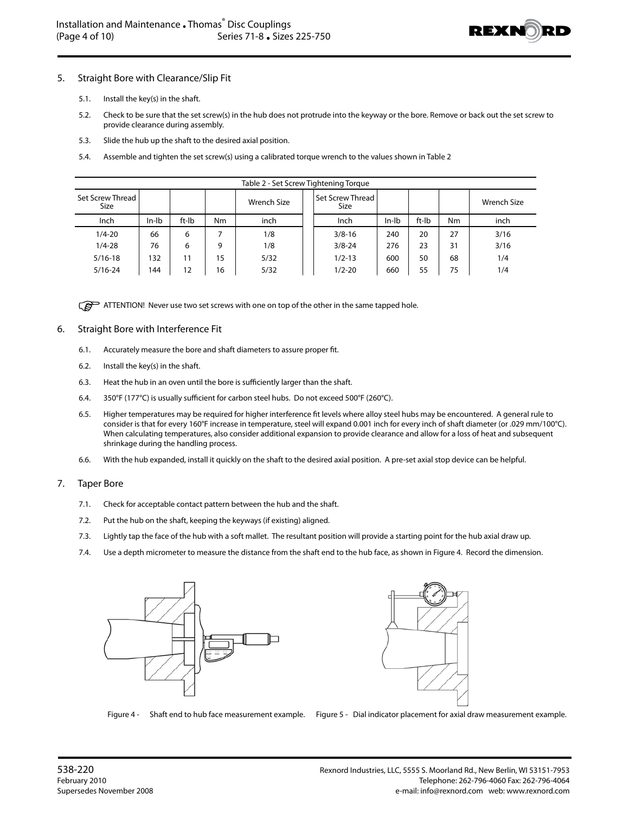

## 5. Straight Bore with Clearance/Slip Fit

- 5.1. Install the key(s) in the shaft.
- 5.2. Check to be sure that the set screw(s) in the hub does not protrude into the keyway or the bore. Remove or back out the set screw to provide clearance during assembly.
- 5.3. Slide the hub up the shaft to the desired axial position.
- 5.4. Assemble and tighten the set screw(s) using a calibrated torque wrench to the values shown in Table 2

| Table 2 - Set Screw Tightening Torque |         |       |    |             |  |                                 |         |       |    |             |  |
|---------------------------------------|---------|-------|----|-------------|--|---------------------------------|---------|-------|----|-------------|--|
| Set Screw Thread<br><b>Size</b>       |         |       |    | Wrench Size |  | Set Screw Thread<br><b>Size</b> |         |       |    | Wrench Size |  |
| Inch                                  | $In-lb$ | ft-Ib | Nm | inch        |  | Inch                            | $In-lb$ | ft-Ib | Nm | inch        |  |
| $1/4 - 20$                            | 66      | 6     |    | 1/8         |  | $3/8 - 16$                      | 240     | 20    | 27 | 3/16        |  |
| $1/4 - 28$                            | 76      | 6     | 9  | 1/8         |  | $3/8 - 24$                      | 276     | 23    | 31 | 3/16        |  |
| $5/16-18$                             | 132     | 11    | 15 | 5/32        |  | $1/2 - 13$                      | 600     | 50    | 68 | 1/4         |  |
| $5/16 - 24$                           | 144     | 12    | 16 | 5/32        |  | $1/2 - 20$                      | 660     | 55    | 75 | 1/4         |  |

ATTENTION! Never use two set screws with one on top of the other in the same tapped hole.

## 6. Straight Bore with Interference Fit

- 6.1. Accurately measure the bore and shaft diameters to assure proper fit.
- 6.2. Install the key(s) in the shaft.
- 6.3. Heat the hub in an oven until the bore is sufficiently larger than the shaft.
- 6.4. 350°F (177°C) is usually sufficient for carbon steel hubs. Do not exceed 500°F (260°C).
- 6.5. Higher temperatures may be required for higher interference fit levels where alloy steel hubs may be encountered. A general rule to consider is that for every 160°F increase in temperature, steel will expand 0.001 inch for every inch of shaft diameter (or .029 mm/100°C). When calculating temperatures, also consider additional expansion to provide clearance and allow for a loss of heat and subsequent shrinkage during the handling process.
- 6.6. With the hub expanded, install it quickly on the shaft to the desired axial position. A pre-set axial stop device can be helpful.

### 7. Taper Bore

- 7.1. Check for acceptable contact pattern between the hub and the shaft.
- 7.2. Put the hub on the shaft, keeping the keyways (if existing) aligned.
- 7.3. Lightly tap the face of the hub with a soft mallet. The resultant position will provide a starting point for the hub axial draw up.
- 7.4. Use a depth micrometer to measure the distance from the shaft end to the hub face, as shown in Figure 4. Record the dimension.



Figure 4 - Shaft end to hub face measurement example. Figure 5 - Dial indicator placement for axial draw measurement example.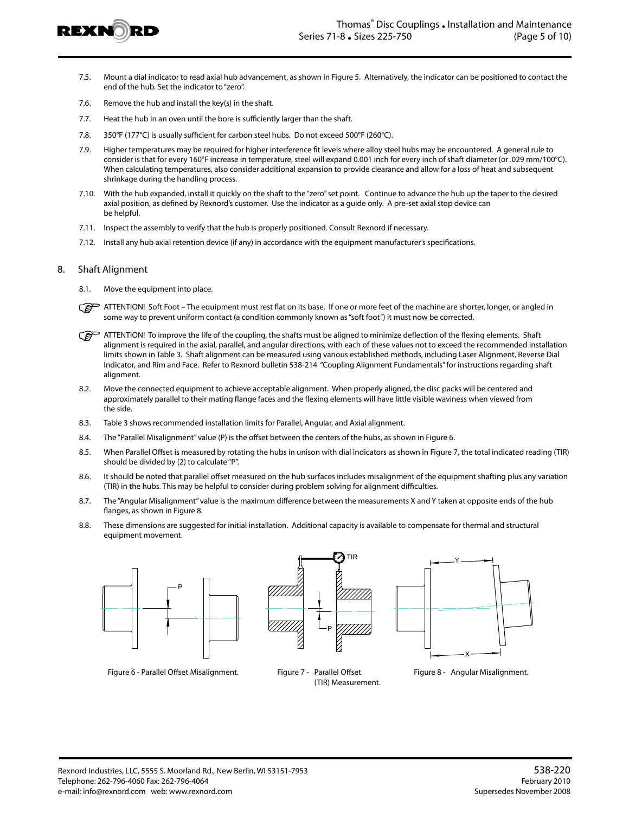

- 7.5. Mount a dial indicator to read axial hub advancement, as shown in Figure 5. Alternatively, the indicator can be positioned to contact the end of the hub. Set the indicator to "zero".
- 7.6. Remove the hub and install the key(s) in the shaft.
- 7.7. Heat the hub in an oven until the bore is sufficiently larger than the shaft.
- 7.8. 350°F (177°C) is usually sufficient for carbon steel hubs. Do not exceed 500°F (260°C).
- 7.9. Higher temperatures may be required for higher interference fit levels where alloy steel hubs may be encountered. A general rule to consider is that for every 160°F increase in temperature, steel will expand 0.001 inch for every inch of shaft diameter (or .029 mm/100°C). When calculating temperatures, also consider additional expansion to provide clearance and allow for a loss of heat and subsequent shrinkage during the handling process.
- 7.10. With the hub expanded, install it quickly on the shaft to the "zero" set point. Continue to advance the hub up the taper to the desired axial position, as defined by Rexnord's customer. Use the indicator as a guide only. A pre-set axial stop device can be helpful.
- 7.11. Inspect the assembly to verify that the hub is properly positioned. Consult Rexnord if necessary.
- 7.12. Install any hub axial retention device (if any) in accordance with the equipment manufacturer's specifications.

#### 8. Shaft Alignment

- 8.1. Move the equipment into place.
- ි ATTENTION! Soft Foot – The equipment must rest flat on its base. If one or more feet of the machine are shorter, longer, or angled in some way to prevent uniform contact (a condition commonly known as "soft foot") it must now be corrected.
- ATTENTION! To improve the life of the coupling, the shafts must be aligned to minimize deflection of the flexing elements. Shaft alignment is required in the axial, parallel, and angular directions, with each of these values not to exceed the recommended installation limits shown in Table 3. Shaft alignment can be measured using various established methods, including Laser Alignment, Reverse Dial Indicator, and Rim and Face. Refer to Rexnord bulletin 538-214 "Coupling Alignment Fundamentals" for instructions regarding shaft alignment.
- 8.2. Move the connected equipment to achieve acceptable alignment. When properly aligned, the disc packs will be centered and approximately parallel to their mating flange faces and the flexing elements will have little visible waviness when viewed from the side.
- 8.3. Table 3 shows recommended installation limits for Parallel, Angular, and Axial alignment.
- 8.4. The "Parallel Misalignment" value (P) is the offset between the centers of the hubs, as shown in Figure 6.
- 8.5. When Parallel Offset is measured by rotating the hubs in unison with dial indicators as shown in Figure 7, the total indicated reading (TIR) should be divided by (2) to calculate "P".
- 8.6. It should be noted that parallel offset measured on the hub surfaces includes misalignment of the equipment shafting plus any variation (TIR) in the hubs. This may be helpful to consider during problem solving for alignment difficulties.
- 8.7. The "Angular Misalignment" value is the maximum difference between the measurements X and Y taken at opposite ends of the hub flanges, as shown in Figure 8.
- 8.8. These dimensions are suggested for initial installation. Additional capacity is available to compensate for thermal and structural equipment movement.







(TIR) Measurement.

Figure 6 - Parallel Offset Misalignment. Figure 7 - Parallel Offset Figure 8 - Angular Misalignment.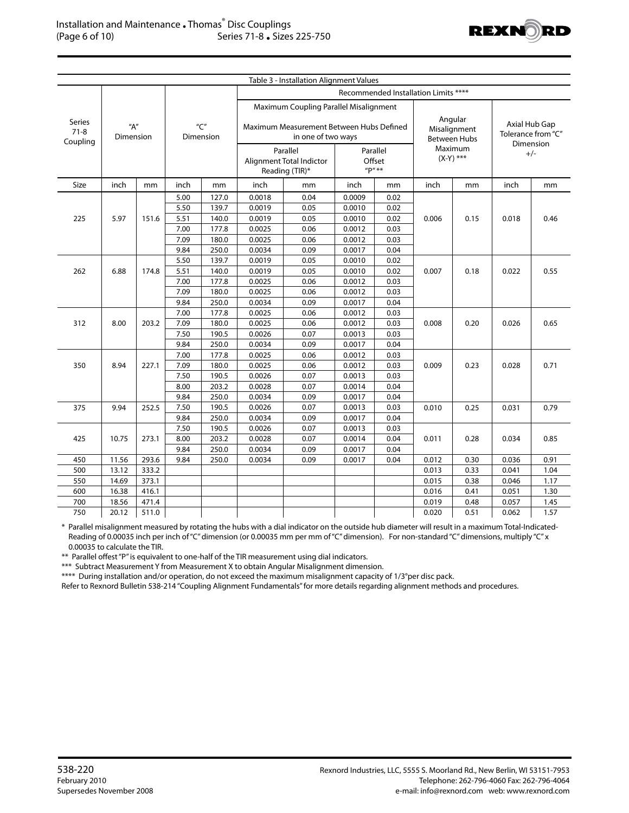

|                                      |                       |       |                  |        |        | Table 3 - Installation Alignment Values                        |                                 |                                     |                                                |      |                    |      |  |  |  |  |
|--------------------------------------|-----------------------|-------|------------------|--------|--------|----------------------------------------------------------------|---------------------------------|-------------------------------------|------------------------------------------------|------|--------------------|------|--|--|--|--|
| Recommended Installation Limits **** |                       |       |                  |        |        |                                                                |                                 |                                     |                                                |      |                    |      |  |  |  |  |
|                                      |                       |       |                  |        |        | Maximum Coupling Parallel Misalignment                         |                                 |                                     | Angular<br>Misalignment<br><b>Between Hubs</b> |      |                    |      |  |  |  |  |
| <b>Series</b><br>$71-8$<br>Coupling  | $H''$ A"<br>Dimension |       | "C"<br>Dimension |        |        | Maximum Measurement Between Hubs Defined<br>in one of two ways |                                 | Axial Hub Gap<br>Tolerance from "C" |                                                |      |                    |      |  |  |  |  |
|                                      |                       |       |                  |        |        | Parallel<br>Alignment Total Indictor<br>Reading (TIR)*         | Parallel<br>Offset<br>$''P''**$ |                                     | Maximum<br>$(X-Y)$ ***                         |      | Dimension<br>$+/-$ |      |  |  |  |  |
| Size                                 | inch                  | mm    | inch             | mm     | inch   | mm                                                             | inch                            | mm                                  | inch                                           | mm   | inch               | mm   |  |  |  |  |
|                                      |                       |       | 5.00             | 127.0  | 0.0018 | 0.04                                                           | 0.0009                          | 0.02                                |                                                | 0.15 | 0.018              | 0.46 |  |  |  |  |
|                                      |                       |       | 5.50             | 139.7  | 0.0019 | 0.05                                                           | 0.0010                          | 0.02                                |                                                |      |                    |      |  |  |  |  |
| 225                                  | 5.97                  | 151.6 | 5.51             | 140.0  | 0.0019 | 0.05                                                           | 0.0010                          | 0.02                                | 0.006                                          |      |                    |      |  |  |  |  |
|                                      |                       |       | 7.00             | 177.8  | 0.0025 | 0.06                                                           | 0.0012                          | 0.03                                |                                                |      |                    |      |  |  |  |  |
|                                      |                       |       | 7.09             | 180.0  | 0.0025 | 0.06                                                           | 0.0012                          | 0.03                                |                                                |      |                    |      |  |  |  |  |
|                                      |                       |       | 9.84             | 250.0  | 0.0034 | 0.09                                                           | 0.0017                          | 0.04                                |                                                |      |                    |      |  |  |  |  |
|                                      |                       | 174.8 | 5.50             | 139.7  | 0.0019 | 0.05                                                           | 0.0010                          | 0.02                                |                                                |      |                    |      |  |  |  |  |
| 262<br>6.88                          |                       |       | 5.51             | 140.0  | 0.0019 | 0.05                                                           | 0.0010                          | 0.02                                | 0.007                                          | 0.18 | 0.022              | 0.55 |  |  |  |  |
|                                      |                       |       | 7.00             | 177.8  | 0.0025 | 0.06                                                           | 0.0012                          | 0.03                                |                                                |      |                    |      |  |  |  |  |
|                                      |                       |       | 7.09             | 180.0  | 0.0025 | 0.06                                                           | 0.0012                          | 0.03                                |                                                |      |                    |      |  |  |  |  |
|                                      |                       | 9.84  | 250.0            | 0.0034 | 0.09   | 0.0017                                                         | 0.04                            |                                     |                                                |      |                    |      |  |  |  |  |
|                                      |                       | 7.00  | 177.8            | 0.0025 | 0.06   | 0.0012                                                         | 0.03                            |                                     |                                                |      |                    |      |  |  |  |  |
| 312                                  | 8.00                  | 203.2 | 7.09             | 180.0  | 0.0025 | 0.06                                                           | 0.0012                          | 0.03                                | 0.008                                          | 0.20 | 0.026              | 0.65 |  |  |  |  |
|                                      |                       |       | 7.50             | 190.5  | 0.0026 | 0.07                                                           | 0.0013                          | 0.03                                |                                                |      |                    |      |  |  |  |  |
|                                      |                       |       | 9.84             | 250.0  | 0.0034 | 0.09                                                           | 0.0017                          | 0.04                                |                                                |      |                    |      |  |  |  |  |
|                                      |                       |       | 7.00             | 177.8  | 0.0025 | 0.06                                                           | 0.0012                          | 0.03                                |                                                |      |                    |      |  |  |  |  |
| 350                                  | 8.94                  | 227.1 | 7.09             | 180.0  | 0.0025 | 0.06                                                           | 0.0012                          | 0.03                                | 0.009                                          | 0.23 | 0.028              | 0.71 |  |  |  |  |
|                                      |                       |       | 7.50             | 190.5  | 0.0026 | 0.07                                                           | 0.0013                          | 0.03                                |                                                |      |                    |      |  |  |  |  |
|                                      |                       |       |                  |        |        |                                                                | 8.00                            | 203.2                               | 0.0028                                         | 0.07 | 0.0014             | 0.04 |  |  |  |  |
|                                      |                       |       | 9.84             | 250.0  | 0.0034 | 0.09                                                           | 0.0017                          | 0.04                                |                                                |      |                    |      |  |  |  |  |
| 375                                  | 9.94                  | 252.5 | 7.50             | 190.5  | 0.0026 | 0.07                                                           | 0.0013                          | 0.03                                | 0.010                                          | 0.25 | 0.031              | 0.79 |  |  |  |  |
|                                      |                       |       | 9.84             | 250.0  | 0.0034 | 0.09                                                           | 0.0017                          | 0.04                                |                                                |      |                    |      |  |  |  |  |
|                                      |                       |       | 7.50             | 190.5  | 0.0026 | 0.07                                                           | 0.0013                          | 0.03                                |                                                |      |                    |      |  |  |  |  |
| 425                                  | 10.75                 | 273.1 | 8.00             | 203.2  | 0.0028 | 0.07                                                           | 0.0014                          | 0.04                                | 0.011                                          | 0.28 | 0.034              | 0.85 |  |  |  |  |
|                                      |                       |       | 9.84             | 250.0  | 0.0034 | 0.09                                                           | 0.0017                          | 0.04                                |                                                |      |                    |      |  |  |  |  |
| 450                                  | 11.56                 | 293.6 | 9.84             | 250.0  | 0.0034 | 0.09                                                           | 0.0017                          | 0.04                                | 0.012                                          | 0.30 | 0.036              | 0.91 |  |  |  |  |
| 500                                  | 13.12                 | 333.2 |                  |        |        |                                                                |                                 |                                     | 0.013                                          | 0.33 | 0.041              | 1.04 |  |  |  |  |
| 550                                  | 14.69                 | 373.1 |                  |        |        |                                                                |                                 |                                     | 0.015                                          | 0.38 | 0.046              | 1.17 |  |  |  |  |
| 600                                  | 16.38                 | 416.1 |                  |        |        |                                                                |                                 |                                     | 0.016                                          | 0.41 | 0.051              | 1.30 |  |  |  |  |
| 700                                  | 18.56                 | 471.4 |                  |        |        |                                                                |                                 |                                     | 0.019                                          | 0.48 | 0.057              | 1.45 |  |  |  |  |
| 750                                  | 20.12                 | 511.0 |                  |        |        |                                                                |                                 |                                     | 0.020                                          | 0.51 | 0.062              | 1.57 |  |  |  |  |

\* Parallel misalignment measured by rotating the hubs with a dial indicator on the outside hub diameter will result in a maximum Total-Indicated-Reading of 0.00035 inch per inch of "C" dimension (or 0.00035 mm per mm of "C" dimension). For non-standard "C" dimensions, multiply "C" x 0.00035 to calculate the TIR.

\*\* Parallel offest "P" is equivalent to one-half of the TIR measurement using dial indicators.

\*\*\* Subtract Measurement Y from Measurement X to obtain Angular Misalignment dimension.

\*\*\*\* During installation and/or operation, do not exceed the maximum misalignment capacity of 1/3°per disc pack.

Refer to Rexnord Bulletin 538-214 "Coupling Alignment Fundamentals" for more details regarding alignment methods and procedures.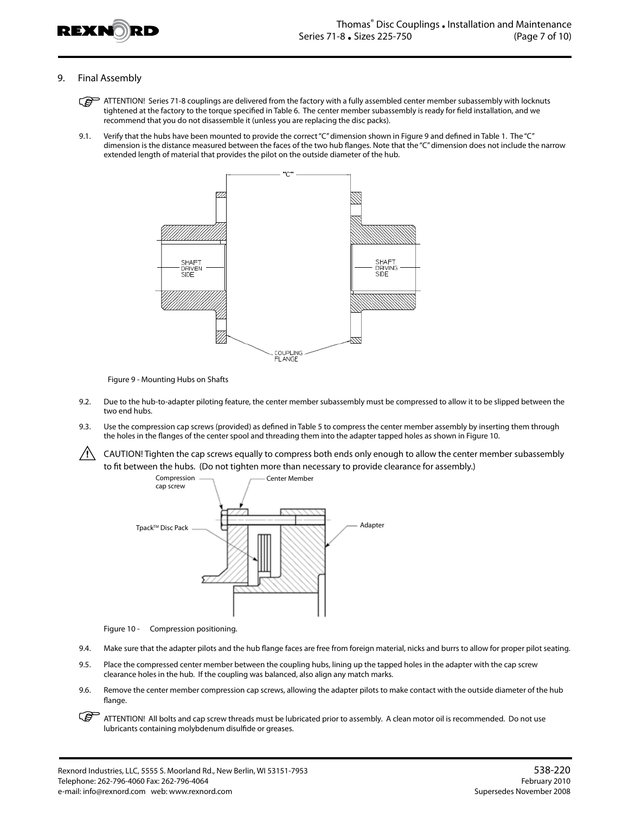

## 9. Final Assembly

- ATTENTION! Series 71-8 couplings are delivered from the factory with a fully assembled center member subassembly with locknuts tightened at the factory to the torque specified in Table 6. The center member subassembly is ready for field installation, and we recommend that you do not disassemble it (unless you are replacing the disc packs).
- 9.1. Verify that the hubs have been mounted to provide the correct "C" dimension shown in Figure 9 and defined in Table 1. The "C" dimension is the distance measured between the faces of the two hub flanges. Note that the "C" dimension does not include the narrow extended length of material that provides the pilot on the outside diameter of the hub.



Figure 9 - Mounting Hubs on Shafts

- 9.2. Due to the hub-to-adapter piloting feature, the center member subassembly must be compressed to allow it to be slipped between the two end hubs.
- 9.3. Use the compression cap screws (provided) as defined in Table 5 to compress the center member assembly by inserting them through the holes in the flanges of the center spool and threading them into the adapter tapped holes as shown in Figure 10.
- $/$ ! CAUTION! Tighten the cap screws equally to compress both ends only enough to allow the center member subassembly to fit between the hubs. (Do not tighten more than necessary to provide clearance for assembly.)



Figure 10 - Compression positioning.

- 9.4. Make sure that the adapter pilots and the hub flange faces are free from foreign material, nicks and burrs to allow for proper pilot seating.
- 9.5. Place the compressed center member between the coupling hubs, lining up the tapped holes in the adapter with the cap screw clearance holes in the hub. If the coupling was balanced, also align any match marks.
- 9.6. Remove the center member compression cap screws, allowing the adapter pilots to make contact with the outside diameter of the hub flange.
- ATTENTION! All bolts and cap screw threads must be lubricated prior to assembly. A clean motor oil is recommended. Do not use lubricants containing molybdenum disulfide or greases.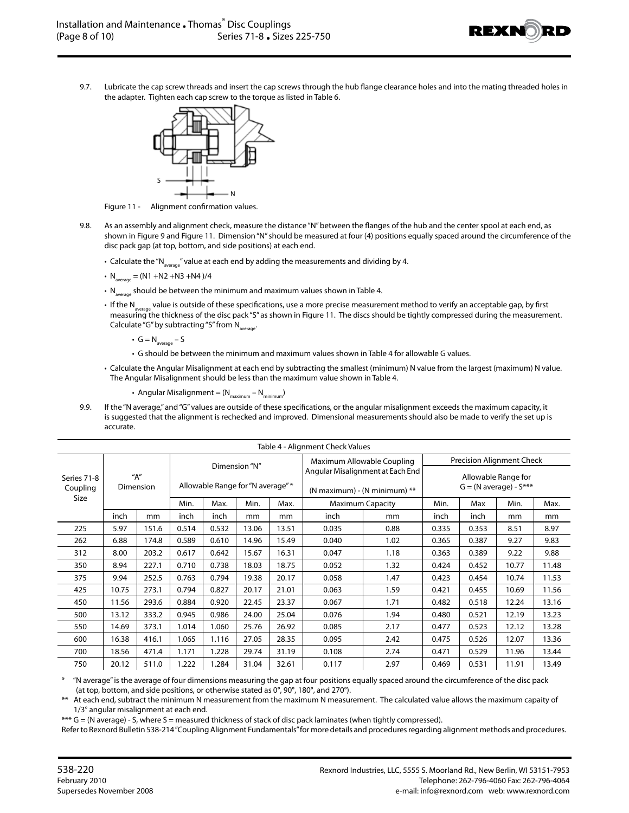

9.7. Lubricate the cap screw threads and insert the cap screws through the hub flange clearance holes and into the mating threaded holes in the adapter. Tighten each cap screw to the torque as listed in Table 6.



Figure 11 - Alignment confirmation values.

- 9.8. As an assembly and alignment check, measure the distance "N" between the flanges of the hub and the center spool at each end, as shown in Figure 9 and Figure 11. Dimension "N" should be measured at four (4) positions equally spaced around the circumference of the disc pack gap (at top, bottom, and side positions) at each end.
	- Calculate the "N<sub>average</sub>" value at each end by adding the measurements and dividing by 4.
	- $N_{average} = (N1 + N2 + N3 + N4)/4$
	- $\cdot$  N<sub>average</sub> should be between the minimum and maximum values shown in Table 4.
	- If the N<sub>average</sub> value is outside of these specifications, use a more precise measurement method to verify an acceptable gap, by first measuring the thickness of the disc pack "S" as shown in Figure 11. The discs should be tightly compressed during the measurement. Calculate "G" by subtracting "S" from  $N_{\text{average}}$ .
		- $G = N_{average} S$
		- G should be between the minimum and maximum values shown in Table 4 for allowable G values.
	- Calculate the Angular Misalignment at each end by subtracting the smallest (minimum) N value from the largest (maximum) N value. The Angular Misalignment should be less than the maximum value shown in Table 4.
		- Angular Misalignment =  $(N_{\text{maximum}} N_{\text{minimum}})$
- 9.9. If the "N average," and "G" values are outside of these specifications, or the angular misalignment exceeds the maximum capacity, it is suggested that the alignment is rechecked and improved. Dimensional measurements should also be made to verify the set up is accurate.

| Table 4 - Alignment Check Values |                       |       |       |                                   |       |       |                                                                    |                                                         |       |       |       |       |
|----------------------------------|-----------------------|-------|-------|-----------------------------------|-------|-------|--------------------------------------------------------------------|---------------------------------------------------------|-------|-------|-------|-------|
| Series 71-8<br>Coupling<br>Size  |                       |       |       | Dimension "N"                     |       |       | Maximum Allowable Coupling                                         | Precision Alignment Check                               |       |       |       |       |
|                                  | $H''$ A"<br>Dimension |       |       | Allowable Range for "N average" * |       |       | Angular Misalignment at Each End<br>(N maximum) - (N minimum) $**$ | Allowable Range for<br>$G = (N \text{ average}) - S***$ |       |       |       |       |
|                                  |                       |       | Min.  | Max.                              | Min.  | Max.  | <b>Maximum Capacity</b>                                            | Min.                                                    | Max   | Min.  | Max.  |       |
|                                  | inch                  | mm    | inch  | inch                              | mm    | mm    | inch                                                               | mm                                                      |       | inch  | mm    | mm    |
| 225                              | 5.97                  | 151.6 | 0.514 | 0.532                             | 13.06 | 13.51 | 0.035                                                              | 0.88                                                    | 0.335 | 0.353 | 8.51  | 8.97  |
| 262                              | 6.88                  | 174.8 | 0.589 | 0.610                             | 14.96 | 15.49 | 0.040                                                              | 1.02                                                    | 0.365 | 0.387 | 9.27  | 9.83  |
| 312                              | 8.00                  | 203.2 | 0.617 | 0.642                             | 15.67 | 16.31 | 0.047                                                              | 1.18                                                    | 0.363 | 0.389 | 9.22  | 9.88  |
| 350                              | 8.94                  | 227.1 | 0.710 | 0.738                             | 18.03 | 18.75 | 0.052                                                              | 1.32                                                    | 0.424 | 0.452 | 10.77 | 11.48 |
| 375                              | 9.94                  | 252.5 | 0.763 | 0.794                             | 19.38 | 20.17 | 0.058                                                              | 1.47                                                    | 0.423 | 0.454 | 10.74 | 11.53 |
| 425                              | 10.75                 | 273.1 | 0.794 | 0.827                             | 20.17 | 21.01 | 0.063                                                              | 1.59                                                    | 0.421 | 0.455 | 10.69 | 11.56 |
| 450                              | 11.56                 | 293.6 | 0.884 | 0.920                             | 22.45 | 23.37 | 0.067                                                              | 1.71                                                    | 0.482 | 0.518 | 12.24 | 13.16 |
| 500                              | 13.12                 | 333.2 | 0.945 | 0.986                             | 24.00 | 25.04 | 0.076                                                              | 1.94                                                    | 0.480 | 0.521 | 12.19 | 13.23 |
| 550                              | 14.69                 | 373.1 | 1.014 | 1.060                             | 25.76 | 26.92 | 0.085                                                              | 2.17                                                    | 0.477 | 0.523 | 12.12 | 13.28 |
| 600                              | 16.38                 | 416.1 | 1.065 | 1.116                             | 27.05 | 28.35 | 0.095                                                              | 2.42                                                    | 0.475 | 0.526 | 12.07 | 13.36 |
| 700                              | 18.56                 | 471.4 | 1.171 | 1.228                             | 29.74 | 31.19 | 0.108                                                              | 2.74                                                    | 0.471 | 0.529 | 11.96 | 13.44 |
| 750                              | 20.12                 | 511.0 | 1.222 | 1.284                             | 31.04 | 32.61 | 0.117                                                              | 2.97                                                    | 0.469 | 0.531 | 11.91 | 13.49 |

\* "N average" is the average of four dimensions measuring the gap at four positions equally spaced around the circumference of the disc pack (at top, bottom, and side positions, or otherwise stated as 0°, 90°, 180°, and 270°).

At each end, subtract the minimum N measurement from the maximum N measurement. The calculated value allows the maximum capaity of 1/3° angular misalignment at each end.

\*\*\* G = (N average) - S, where S = measured thickness of stack of disc pack laminates (when tightly compressed).

Refer to Rexnord Bulletin 538-214 "Coupling Alignment Fundamentals" for more details and procedures regarding alignment methods and procedures.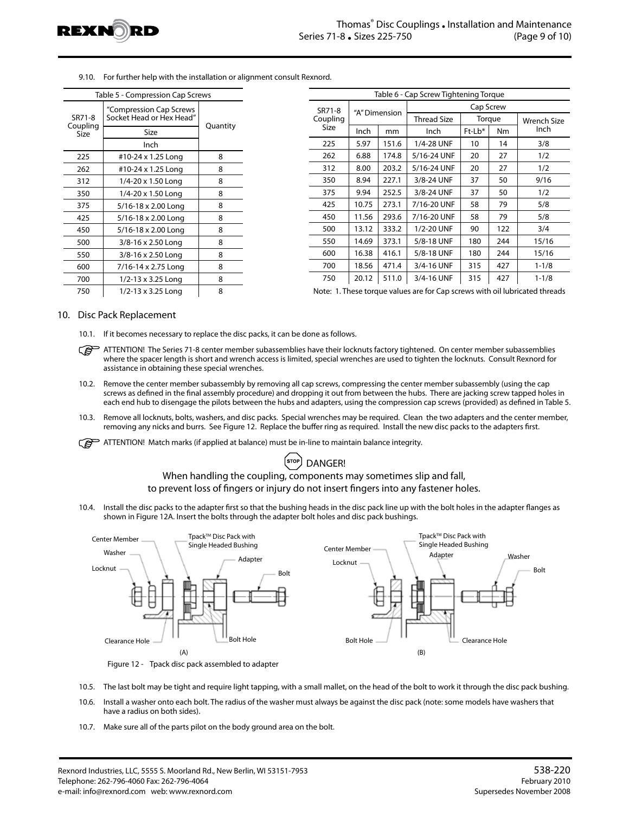

9.10. For further help with the installation or alignment consult Rexnord.

| Table 5 - Compression Cap Screws |                                                     |          |  |  |  |  |  |  |
|----------------------------------|-----------------------------------------------------|----------|--|--|--|--|--|--|
| SR71-8                           | "Compression Cap Screws<br>Socket Head or Hex Head" |          |  |  |  |  |  |  |
| Coupling<br>Size                 | Size                                                | Quantity |  |  |  |  |  |  |
|                                  | Inch                                                |          |  |  |  |  |  |  |
| 225                              | #10-24 x 1.25 Long                                  | 8        |  |  |  |  |  |  |
| 262                              | #10-24 x 1.25 Long                                  | 8        |  |  |  |  |  |  |
| 312                              | 1/4-20 x 1.50 Long                                  | 8        |  |  |  |  |  |  |
| 350                              | 1/4-20 x 1.50 Long                                  | 8        |  |  |  |  |  |  |
| 375                              | 5/16-18 x 2.00 Long                                 | 8        |  |  |  |  |  |  |
| 425                              | 5/16-18 x 2.00 Long                                 | 8        |  |  |  |  |  |  |
| 450                              | 5/16-18 x 2.00 Long                                 | 8        |  |  |  |  |  |  |
| 500                              | 3/8-16 x 2.50 Long                                  | 8        |  |  |  |  |  |  |
| 550                              | 3/8-16 x 2.50 Long                                  | 8        |  |  |  |  |  |  |
| 600                              | 7/16-14 x 2.75 Long                                 | 8        |  |  |  |  |  |  |
| 700                              | 1/2-13 x 3.25 Long                                  | 8        |  |  |  |  |  |  |
| 750                              | 1/2-13 x 3.25 Long                                  | 8        |  |  |  |  |  |  |

| Table 6 - Cap Screw Tightening Torque |               |       |             |        |     |                     |  |  |  |  |
|---------------------------------------|---------------|-------|-------------|--------|-----|---------------------|--|--|--|--|
| SR71-8                                | "A" Dimension |       | Cap Screw   |        |     |                     |  |  |  |  |
| Coupling                              |               |       | Thread Size | Torque |     | Wrench Size<br>Inch |  |  |  |  |
| Size                                  | Inch          | mm    | Inch        | Ft-Lb* | Nm  |                     |  |  |  |  |
| 225                                   | 5.97          | 151.6 | 1/4-28 UNF  | 10     | 14  | 3/8                 |  |  |  |  |
| 262                                   | 6.88          | 174.8 | 5/16-24 UNF | 20     | 27  | 1/2                 |  |  |  |  |
| 312                                   | 8.00          | 203.2 | 5/16-24 UNF | 20     | 27  | 1/2                 |  |  |  |  |
| 350                                   | 8.94          | 227.1 | 3/8-24 UNF  | 37     | 50  | 9/16                |  |  |  |  |
| 375                                   | 9.94          | 252.5 | 3/8-24 UNF  | 37     | 50  | 1/2                 |  |  |  |  |
| 425                                   | 10.75         | 273.1 | 7/16-20 UNF | 58     | 79  | 5/8                 |  |  |  |  |
| 450                                   | 11.56         | 293.6 | 7/16-20 UNF | 58     | 79  | 5/8                 |  |  |  |  |
| 500                                   | 13.12         | 333.2 | 1/2-20 UNF  | 90     | 122 | 3/4                 |  |  |  |  |
| 550                                   | 14.69         | 373.1 | 5/8-18 UNF  | 180    | 244 | 15/16               |  |  |  |  |
| 600                                   | 16.38         | 416.1 | 5/8-18 UNF  | 180    | 244 | 15/16               |  |  |  |  |
| 700                                   | 18.56         | 471.4 | 3/4-16 UNF  | 315    | 427 | $1 - 1/8$           |  |  |  |  |
| 750                                   | 20.12         | 511.0 | 3/4-16 UNF  | 315    | 427 | $1 - 1/8$           |  |  |  |  |

Note: 1. These torque values are for Cap screws with oil lubricated threads

## 10. Disc Pack Replacement

- 10.1. If it becomes necessary to replace the disc packs, it can be done as follows.
- ATTENTION! The Series 71-8 center member subassemblies have their locknuts factory tightened. On center member subassemblies where the spacer length is short and wrench access is limited, special wrenches are used to tighten the locknuts. Consult Rexnord for assistance in obtaining these special wrenches.
- 10.2. Remove the center member subassembly by removing all cap screws, compressing the center member subassembly (using the cap screws as defined in the final assembly procedure) and dropping it out from between the hubs. There are jacking screw tapped holes in each end hub to disengage the pilots between the hubs and adapters, using the compression cap screws (provided) as defined in Table 5.
- 10.3. Remove all locknuts, bolts, washers, and disc packs. Special wrenches may be required. Clean the two adapters and the center member, removing any nicks and burrs. See Figure 12. Replace the buffer ring as required. Install the new disc packs to the adapters first.
- $\widehat{A}$  ATTENTION! Match marks (if applied at balance) must be in-line to maintain balance integrity.

# <sup>(stop</sup>) DANGER!

# When handling the coupling, components may sometimes slip and fall, to prevent loss of fingers or injury do not insert fingers into any fastener holes.

10.4. Install the disc packs to the adapter first so that the bushing heads in the disc pack line up with the bolt holes in the adapter flanges as shown in Figure 12A. Insert the bolts through the adapter bolt holes and disc pack bushings.



Figure 12 - Tpack disc pack assembled to adapter

- 10.5. The last bolt may be tight and require light tapping, with a small mallet, on the head of the bolt to work it through the disc pack bushing.
- 10.6. Install a washer onto each bolt. The radius of the washer must always be against the disc pack (note: some models have washers that have a radius on both sides).
- 10.7. Make sure all of the parts pilot on the body ground area on the bolt.